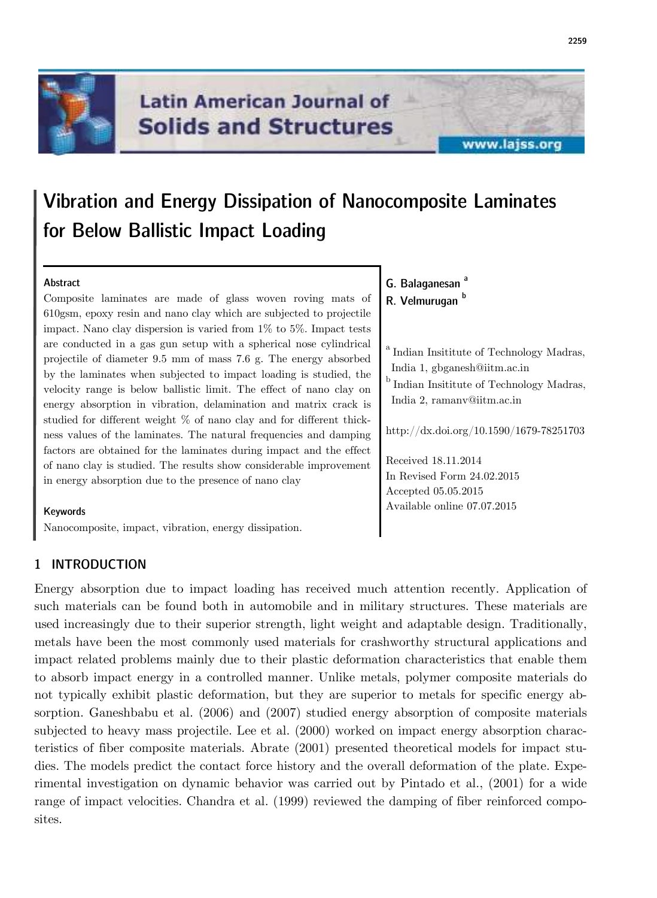

## **Latin American Journal of Solids and Structures**

## www.lajss.org

# **Vibration and Energy Dissipation of Nanocomposite Laminates for Below Ballistic Impact Loading**

## **Abstract**

Composite laminates are made of glass woven roving mats of 610gsm, epoxy resin and nano clay which are subjected to projectile impact. Nano clay dispersion is varied from 1% to 5%. Impact tests are conducted in a gas gun setup with a spherical nose cylindrical projectile of diameter 9.5 mm of mass 7.6 g. The energy absorbed by the laminates when subjected to impact loading is studied, the velocity range is below ballistic limit. The effect of nano clay on energy absorption in vibration, delamination and matrix crack is studied for different weight % of nano clay and for different thickness values of the laminates. The natural frequencies and damping factors are obtained for the laminates during impact and the effect of nano clay is studied. The results show considerable improvement in energy absorption due to the presence of nano clay

#### **Keywords**

Nanocomposite, impact, vibration, energy dissipation.

## **1 INTRODUCTION**

Energy absorption due to impact loading has received much attention recently. Application of such materials can be found both in automobile and in military structures. These materials are used increasingly due to their superior strength, light weight and adaptable design. Traditionally, metals have been the most commonly used materials for crashworthy structural applications and impact related problems mainly due to their plastic deformation characteristics that enable them to absorb impact energy in a controlled manner. Unlike metals, polymer composite materials do not typically exhibit plastic deformation, but they are superior to metals for specific energy absorption. Ganeshbabu et al. (2006) and (2007) studied energy absorption of composite materials subjected to heavy mass projectile. Lee et al. (2000) worked on impact energy absorption characteristics of fiber composite materials. Abrate (2001) presented theoretical models for impact studies. The models predict the contact force history and the overall deformation of the plate. Experimental investigation on dynamic behavior was carried out by Pintado et al., (2001) for a wide range of impact velocities. Chandra et al. (1999) reviewed the damping of fiber reinforced composites.

**G. Balaganesan <sup>a</sup> R. Velmurugan <sup>b</sup>**

Accepted 05.05.2015 Available online 07.07.2015

<sup>a</sup> Indian Insititute of Technology Madras, India 1, gbganesh@iitm.ac.in  $^{\rm b}$  Indian Insititute of Technology Madras, India 2, ramanv@iitm.ac.in http://dx.doi.org/10.1590/1679-78251703 Received 18.11.2014 In Revised Form 24.02.2015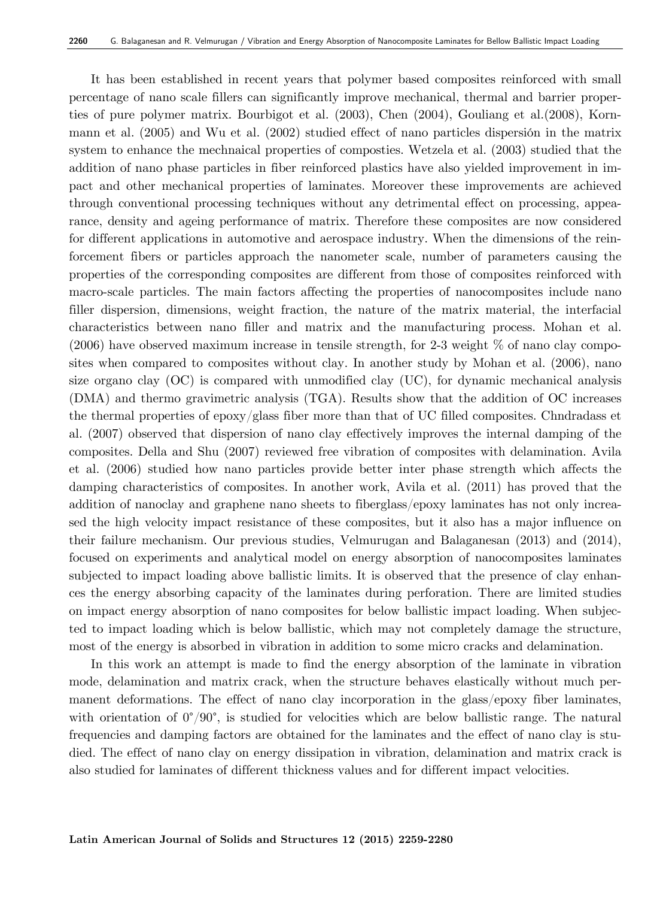It has been established in recent years that polymer based composites reinforced with small percentage of nano scale fillers can significantly improve mechanical, thermal and barrier properties of pure polymer matrix. Bourbigot et al. (2003), Chen (2004), Gouliang et al.(2008), Kornmann et al. (2005) and Wu et al. (2002) studied effect of nano particles dispersión in the matrix system to enhance the mechnaical properties of composties. Wetzela et al. (2003) studied that the addition of nano phase particles in fiber reinforced plastics have also yielded improvement in impact and other mechanical properties of laminates. Moreover these improvements are achieved through conventional processing techniques without any detrimental effect on processing, appearance, density and ageing performance of matrix. Therefore these composites are now considered for different applications in automotive and aerospace industry. When the dimensions of the reinforcement fibers or particles approach the nanometer scale, number of parameters causing the properties of the corresponding composites are different from those of composites reinforced with macro-scale particles. The main factors affecting the properties of nanocomposites include nano filler dispersion, dimensions, weight fraction, the nature of the matrix material, the interfacial characteristics between nano filler and matrix and the manufacturing process. Mohan et al.  $(2006)$  have observed maximum increase in tensile strength, for 2-3 weight  $\%$  of nano clay composites when compared to composites without clay. In another study by Mohan et al. (2006), nano size organo clay (OC) is compared with unmodified clay (UC), for dynamic mechanical analysis (DMA) and thermo gravimetric analysis (TGA). Results show that the addition of OC increases the thermal properties of epoxy/glass fiber more than that of UC filled composites. Chndradass et al. (2007) observed that dispersion of nano clay effectively improves the internal damping of the composites. Della and Shu (2007) reviewed free vibration of composites with delamination. Avila et al. (2006) studied how nano particles provide better inter phase strength which affects the damping characteristics of composites. In another work, Avila et al. (2011) has proved that the addition of nanoclay and graphene nano sheets to fiberglass/epoxy laminates has not only increased the high velocity impact resistance of these composites, but it also has a major influence on their failure mechanism. Our previous studies, Velmurugan and Balaganesan (2013) and (2014), focused on experiments and analytical model on energy absorption of nanocomposites laminates subjected to impact loading above ballistic limits. It is observed that the presence of clay enhances the energy absorbing capacity of the laminates during perforation. There are limited studies on impact energy absorption of nano composites for below ballistic impact loading. When subjected to impact loading which is below ballistic, which may not completely damage the structure, most of the energy is absorbed in vibration in addition to some micro cracks and delamination.

In this work an attempt is made to find the energy absorption of the laminate in vibration mode, delamination and matrix crack, when the structure behaves elastically without much permanent deformations. The effect of nano clay incorporation in the glass/epoxy fiber laminates, with orientation of  $0^{\circ}/90^{\circ}$ , is studied for velocities which are below ballistic range. The natural frequencies and damping factors are obtained for the laminates and the effect of nano clay is studied. The effect of nano clay on energy dissipation in vibration, delamination and matrix crack is also studied for laminates of different thickness values and for different impact velocities.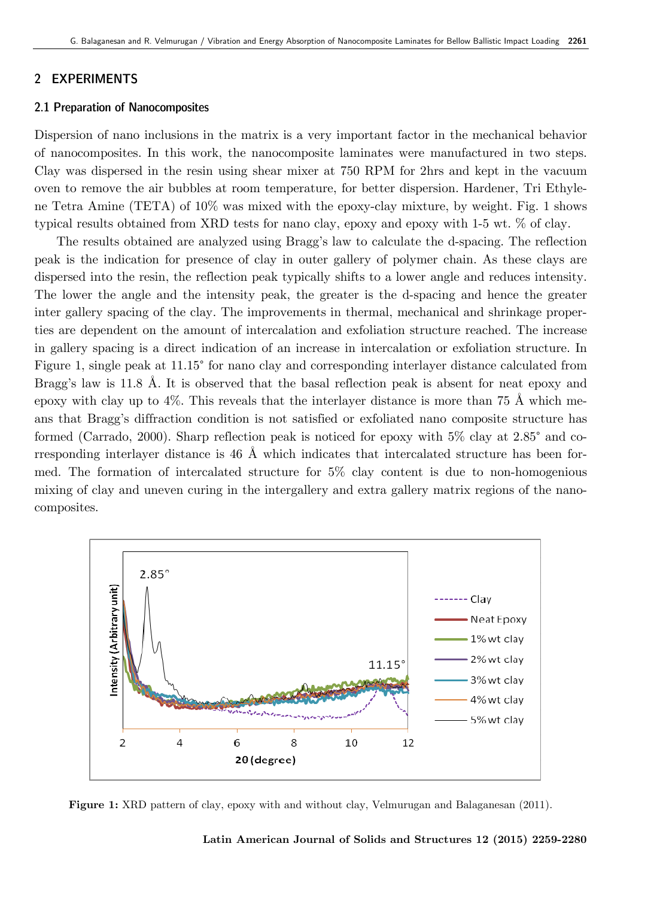## **2 EXPERIMENTS**

#### **2.1 Preparation of Nanocomposites**

Dispersion of nano inclusions in the matrix is a very important factor in the mechanical behavior of nanocomposites. In this work, the nanocomposite laminates were manufactured in two steps.<br>Clay was dispersed in the resin using shear mixer at 750 RPM for 2hrs and kept in the vacuum<br>oven to remove the air bubbles at ro Clay was dispersed in the resin using shear mixer at 750 RPM for 2hrs and kept in the vacuum oven to remove the air bubbles at room temperature, for better dispersion. Hardener, Tri Ethyl ne Tetra Amine (TETA) of 10% was mixed with the epoxy-clay mixture, by weight. Fig. 1 shows typical results obtained from XRD tests for nano clay, epoxy and epoxy with 1 1-5 wt. % of clay.

The results obtained are analyzed using Bragg's law to calculate the d d-spacing. The reflection peak is the indication for presence of clay in outer gallery of polymer chain. As these clays are dispersed into the resin, the reflection peak typically shifts to a lower angle and reduces intensity. The lower the angle and the intensity peak, the greater is the d d-spacing and hence the greater inter gallery spacing of the clay. The improvements in thermal, mechanical and shrinkage properties are dependent on the amount of intercalation and exfoliation structure reached. The increase in gallery spacing is a direct indication of an increase in intercalation or exfoliation structure. In Figure 1, single peak at 11.15° for nano clay and corresponding interlayer distance calculated from Bragg's law is 11.8 Å. It is observed that the basal reflection peak is absent for neat epoxy and epoxy with clay up to 4%. This reveals that the interlayer distance is more than 75 Å which m means that Bragg's diffraction condition is not satisfied or exfoliated nano composite structure has ans that Bragg's diffraction condition is not satisfied or exfoliated nano composite structure has<br>formed (Carrado, 2000). Sharp reflection peak is noticed for epoxy with  $5\%$  clay at 2.85° and corresponding interlayer distance is  $46\,$  Å which indicates that intercalated structure has been formed. The formation of intercalated structure for  $5\%$  clay content is due to non-homogenious mixing of clay and uneven curing in the intergallery and extra gallery matrix regions of the nanocomposites.



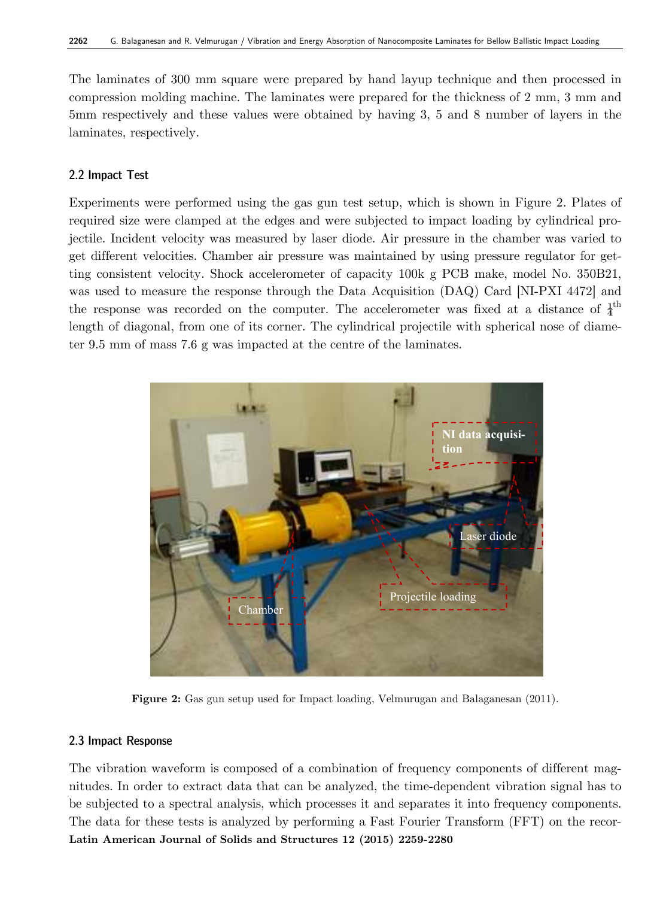The laminates of 300 mm square were prepared by hand layup technique and then processed in compression molding machine. The laminates were prepared for the thickness of 2 mm, 3 mm and 5mm respectively and these values were obtained by having 3, 5 and 8 number of layers in the laminates, respectively.

## **2.2 Impact Test**

Experiments were performed using the gas gun test setup, which is shown in Figure 2. Plates of required size were clamped at the edges and were subjected to impact loading by cylindrical projectile. Incident velocity was measured by laser diode. Air pressure in the chamber was varied to get different velocities. Chamber air pressure was maintained by using pressure regulator for getting consistent velocity. Shock accelerometer of capacity 100k g PCB make, model No. 350B21, was used to measure the response through the Data Acquisition (DAQ) Card [NI-PXI 4472] and the response was recorded on the computer. The accelerometer was fixed at a distance of  $\frac{1}{4}$ <sup>th</sup> length of diagonal, from one of its corner. The cylindrical projectile with spherical nose of diameter 9.5 mm of mass 7.6 g was impacted at the centre of the laminates.



**Figure 2:** Gas gun setup used for Impact loading, Velmurugan and Balaganesan (2011).

### **2.3 Impact Response**

**Latin American Journal of Solids and Structures 12 (2015) 2259-2280**  The vibration waveform is composed of a combination of frequency components of different magnitudes. In order to extract data that can be analyzed, the time-dependent vibration signal has to be subjected to a spectral analysis, which processes it and separates it into frequency components. The data for these tests is analyzed by performing a Fast Fourier Transform (FFT) on the recor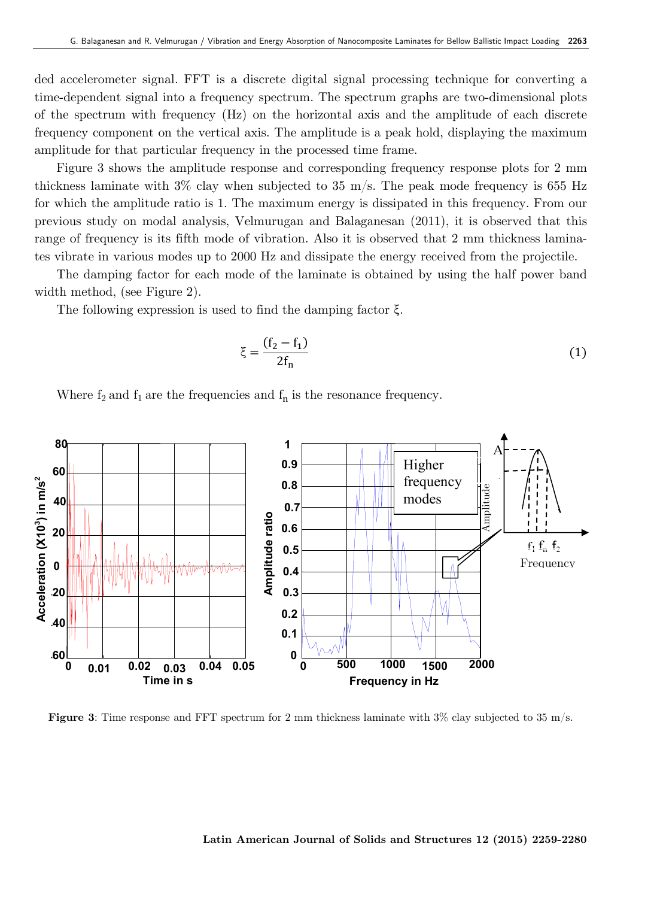ded accelerometer signal. FFT is a discrete digital signal processing technique for converting a time-dependent signal into a frequency spectrum. The spectrum graphs are two-dimensional plots of the spectrum with frequency (Hz) on the horizontal axis and the amplitude of each discrete frequency component on the vertical axis. The amplitude is a peak hold, displaying the maximum amplitude for that particular frequency in the processed time frame.

Figure 3 shows the amplitude response and corresponding frequency response plots for 2 mm thickness laminate with 3% clay when subjected to 35 m/s. The peak mode frequency is 655 Hz for which the amplitude ratio is 1. The maximum energy is dissipated in this frequency. From our previous study on modal analysis, Velmurugan and Balaganesan (2011), it is observed that this range of frequency is its fifth mode of vibration. Also it is observed that 2 mm thickness laminates vibrate in various modes up to 2000 Hz and dissipate the energy received from the projectile.

The damping factor for each mode of the laminate is obtained by using the half power band width method, (see Figure 2).

The following expression is used to find the damping factor ξ.

$$
\xi = \frac{(f_2 - f_1)}{2f_n} \tag{1}
$$

Where  $f_2$  and  $f_1$  are the frequencies and  $f_n$  is the resonance frequency.



**Figure 3**: Time response and FFT spectrum for 2 mm thickness laminate with 3% clay subjected to 35 m/s.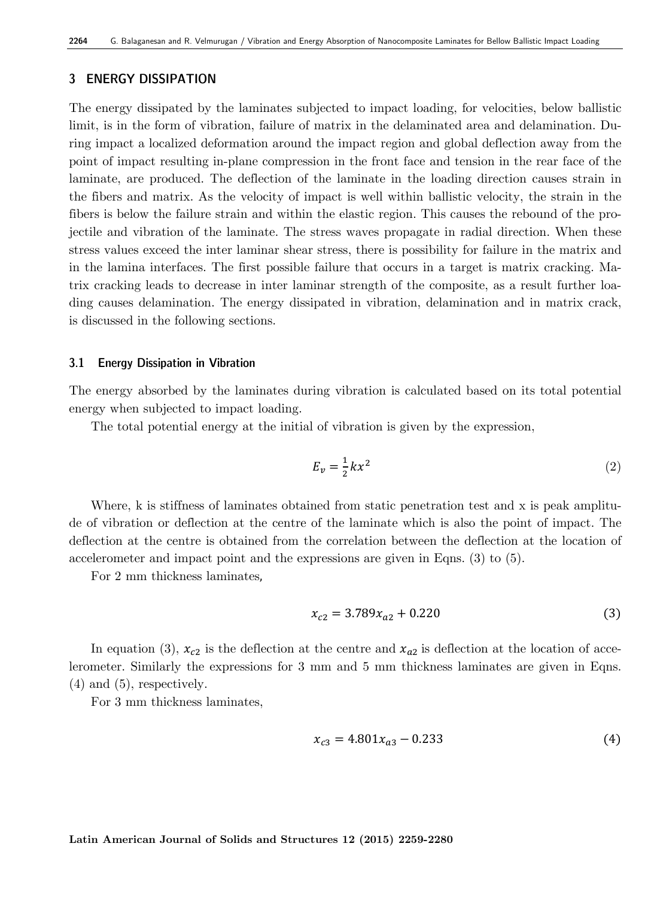## **3 ENERGY DISSIPATION**

The energy dissipated by the laminates subjected to impact loading, for velocities, below ballistic limit, is in the form of vibration, failure of matrix in the delaminated area and delamination. During impact a localized deformation around the impact region and global deflection away from the point of impact resulting in-plane compression in the front face and tension in the rear face of the laminate, are produced. The deflection of the laminate in the loading direction causes strain in the fibers and matrix. As the velocity of impact is well within ballistic velocity, the strain in the fibers is below the failure strain and within the elastic region. This causes the rebound of the projectile and vibration of the laminate. The stress waves propagate in radial direction. When these stress values exceed the inter laminar shear stress, there is possibility for failure in the matrix and in the lamina interfaces. The first possible failure that occurs in a target is matrix cracking. Matrix cracking leads to decrease in inter laminar strength of the composite, as a result further loading causes delamination. The energy dissipated in vibration, delamination and in matrix crack, is discussed in the following sections.

#### **3.1 Energy Dissipation in Vibration**

The energy absorbed by the laminates during vibration is calculated based on its total potential energy when subjected to impact loading.

The total potential energy at the initial of vibration is given by the expression,

$$
E_v = \frac{1}{2}kx^2\tag{2}
$$

Where, k is stiffness of laminates obtained from static penetration test and x is peak amplitude of vibration or deflection at the centre of the laminate which is also the point of impact. The deflection at the centre is obtained from the correlation between the deflection at the location of accelerometer and impact point and the expressions are given in Eqns. (3) to (5).

For 2 mm thickness laminates,

$$
x_{c2} = 3.789x_{a2} + 0.220\tag{3}
$$

In equation (3),  $x_{c2}$  is the deflection at the centre and  $x_{a2}$  is deflection at the location of accelerometer. Similarly the expressions for 3 mm and 5 mm thickness laminates are given in Eqns. (4) and (5), respectively.

For 3 mm thickness laminates,

$$
x_{c3} = 4.801x_{a3} - 0.233\tag{4}
$$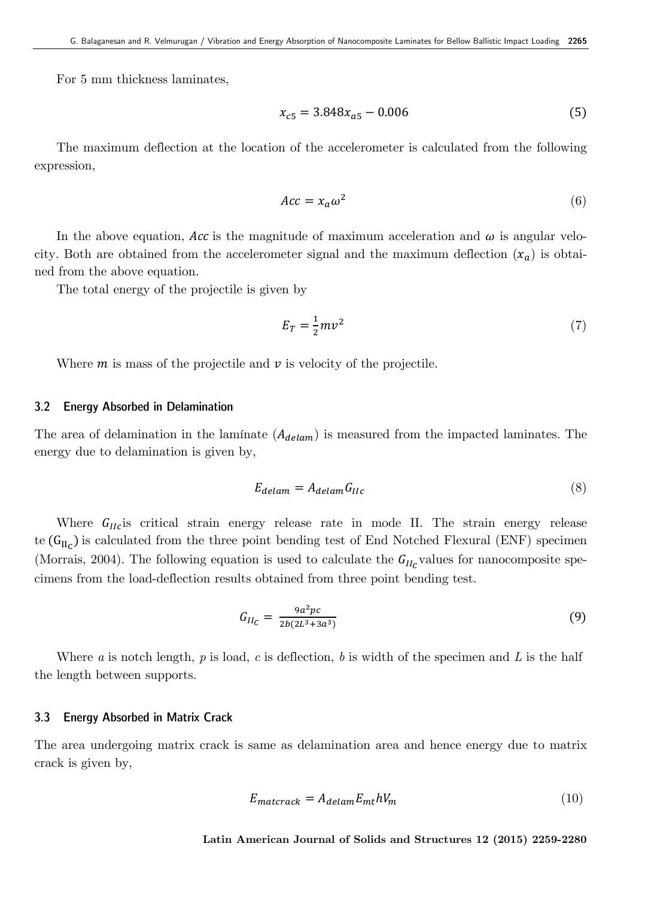For 5 mm thickness laminates,

$$
x_{c5} = 3.848x_{a5} - 0.006\tag{5}
$$

The maximum deflection at the location of the accelerometer is calculated from the following expression,

$$
Acc = x_a \omega^2 \tag{6}
$$

In the above equation, Acc is the magnitude of maximum acceleration and  $\omega$  is angular velocity. Both are obtained from the accelerometer signal and the maximum deflection  $(x_a)$  is obtained from the above equation.

The total energy of the projectile is given by

$$
E_T = \frac{1}{2}mv^2\tag{7}
$$

Where  $m$  is mass of the projectile and  $\nu$  is velocity of the projectile.

#### **3.2 Energy Absorbed in Delamination**

The area of delamination in the laminate  $(A_{delam})$  is measured from the impacted laminates. The energy due to delamination is given by,

$$
E_{delam} = A_{delam} G_{IIc}
$$
 (8)

Where  $G_{IIC}$  is critical strain energy release rate in mode II. The strain energy release te  $(G_{II_C})$  is calculated from the three point bending test of End Notched Flexural (ENF) specimen (Morrais, 2004). The following equation is used to calculate the  $G_{II_C}$  values for nanocomposite specimens from the load-deflection results obtained from three point bending test.

$$
G_{II_C} = \frac{9a^2pc}{2b(2L^3 + 3a^3)}
$$
(9)

 Where *a* is notch length, *p* is load, *c* is deflection, *b* is width of the specimen and *L* is the half the length between supports.

#### **3.3 Energy Absorbed in Matrix Crack**

The area undergoing matrix crack is same as delamination area and hence energy due to matrix crack is given by,

$$
E_{matcrack} = A_{delam} E_{mt} h V_m \tag{10}
$$

**Latin American Journal of Solids and Structures 12 (2015) 2259-2280**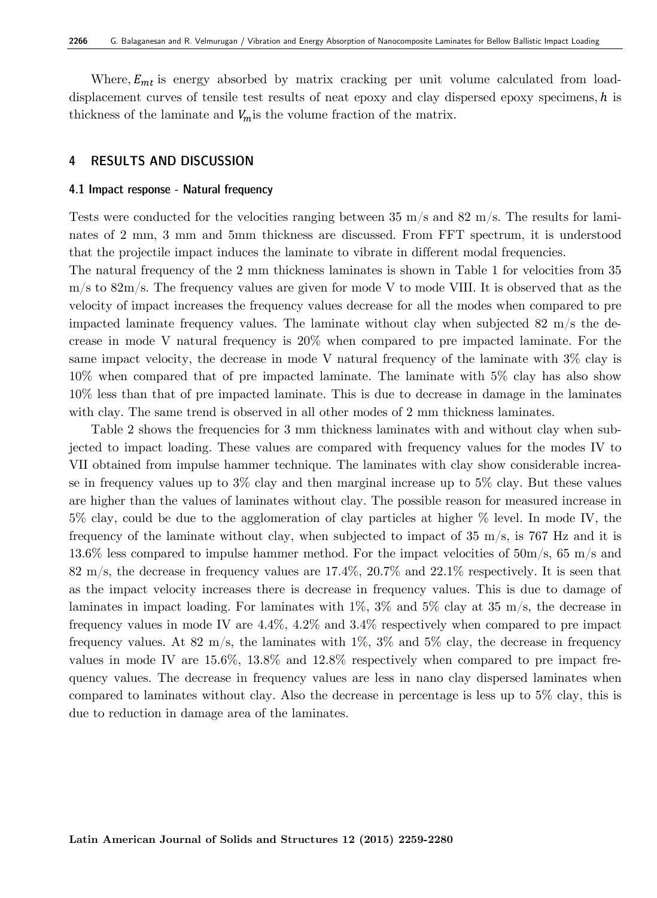Where,  $E_{mt}$  is energy absorbed by matrix cracking per unit volume calculated from loaddisplacement curves of tensile test results of neat epoxy and clay dispersed epoxy specimens,  $h$  is thickness of the laminate and  $V_m$  is the volume fraction of the matrix.

### **4 RESULTS AND DISCUSSION**

#### **4.1 Impact response - Natural frequency**

Tests were conducted for the velocities ranging between 35 m/s and 82 m/s. The results for laminates of 2 mm, 3 mm and 5mm thickness are discussed. From FFT spectrum, it is understood that the projectile impact induces the laminate to vibrate in different modal frequencies.

The natural frequency of the 2 mm thickness laminates is shown in Table 1 for velocities from 35  $m/s$  to 82m/s. The frequency values are given for mode V to mode VIII. It is observed that as the velocity of impact increases the frequency values decrease for all the modes when compared to pre impacted laminate frequency values. The laminate without clay when subjected 82 m/s the decrease in mode V natural frequency is 20% when compared to pre impacted laminate. For the same impact velocity, the decrease in mode V natural frequency of the laminate with 3% clay is 10% when compared that of pre impacted laminate. The laminate with 5% clay has also show 10% less than that of pre impacted laminate. This is due to decrease in damage in the laminates with clay. The same trend is observed in all other modes of 2 mm thickness laminates.

 Table 2 shows the frequencies for 3 mm thickness laminates with and without clay when subjected to impact loading. These values are compared with frequency values for the modes IV to VII obtained from impulse hammer technique. The laminates with clay show considerable increase in frequency values up to  $3\%$  clay and then marginal increase up to  $5\%$  clay. But these values are higher than the values of laminates without clay. The possible reason for measured increase in 5% clay, could be due to the agglomeration of clay particles at higher % level. In mode IV, the frequency of the laminate without clay, when subjected to impact of 35 m/s, is 767 Hz and it is 13.6% less compared to impulse hammer method. For the impact velocities of 50m/s, 65 m/s and 82 m/s, the decrease in frequency values are 17.4%, 20.7% and 22.1% respectively. It is seen that as the impact velocity increases there is decrease in frequency values. This is due to damage of laminates in impact loading. For laminates with  $1\%$ ,  $3\%$  and  $5\%$  clay at 35 m/s, the decrease in frequency values in mode IV are 4.4%, 4.2% and 3.4% respectively when compared to pre impact frequency values. At 82 m/s, the laminates with  $1\%$ ,  $3\%$  and  $5\%$  clay, the decrease in frequency values in mode IV are 15.6%, 13.8% and 12.8% respectively when compared to pre impact frequency values. The decrease in frequency values are less in nano clay dispersed laminates when compared to laminates without clay. Also the decrease in percentage is less up to 5% clay, this is due to reduction in damage area of the laminates.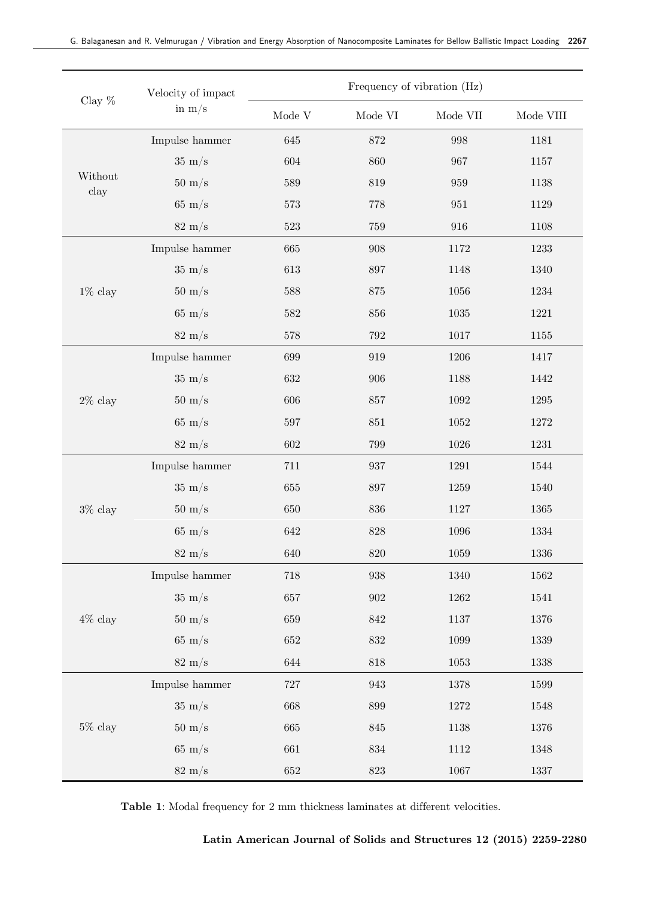| Clay $\%$       | Velocity of impact<br>in $\rm m/s$ | Frequency of vibration (Hz) |                            |                           |                            |  |  |
|-----------------|------------------------------------|-----------------------------|----------------------------|---------------------------|----------------------------|--|--|
|                 |                                    | $\operatorname{Mode}$ V     | $\operatorname*{Mode}$ VI  | $\operatorname{Mode}$ VII | $\operatorname{Mode}$ VIII |  |  |
| Without<br>clay | Impulse hammer                     | 645                         | 872                        | 998                       | 1181                       |  |  |
|                 | $35 \text{ m/s}$                   | 604                         | 860                        | 967                       | 1157                       |  |  |
|                 | $50 \text{ m/s}$                   | 589                         | $819\,$                    | 959                       | 1138                       |  |  |
|                 | $65 \text{ m/s}$                   | $573\,$                     | $778\,$                    | 951                       | 1129                       |  |  |
|                 | $82 \text{ m/s}$                   | $523\,$                     | $759\,$<br>916             |                           | 1108                       |  |  |
|                 | Impulse hammer                     | 665                         | 908                        | 1172                      |                            |  |  |
|                 | $35 \text{ m/s}$                   | $613\,$                     | $897\,$                    | 1148                      | 1340                       |  |  |
| $1\%$ clay      | $50 \text{ m/s}$                   | 588                         | $875\,$                    | 1056                      |                            |  |  |
|                 | $65 \text{ m/s}$                   | 582                         | 856                        | $1035\,$                  |                            |  |  |
|                 | $82 \text{ m/s}$                   | $578\,$                     | $792\,$                    | 1017                      | 1155                       |  |  |
|                 | Impulse hammer                     | 699                         | 919                        | 1206                      | 1417                       |  |  |
|                 | $35 \text{ m/s}$                   | 632                         | 906                        | 1188                      | 1442                       |  |  |
| $2\%$ clay      | $50 \text{ m/s}$                   | 606                         | 857                        | 1092                      |                            |  |  |
|                 | $65 \text{ m/s}$                   | $597\,$                     | $851\,$                    | 1052                      |                            |  |  |
|                 | $82 \text{ m/s}$                   | 602                         | 799                        | $1026\,$                  |                            |  |  |
|                 | Impulse hammer                     | $711\,$                     | 937                        | 1291                      | 1544                       |  |  |
|                 | $35 \text{ m/s}$                   | 655                         | 897                        | 1259                      | 1540                       |  |  |
| $3\%$ clay      | $50 \text{ m/s}$                   | 650                         | 836<br>$1127\,$            |                           | 1365                       |  |  |
|                 | $65 \text{ m/s}$                   | 642                         | 828                        | 1096                      |                            |  |  |
|                 | $82 \text{ m/s}$                   | $640\,$                     | 820                        | 1059                      | $1336\,$                   |  |  |
| $4\%$ clay      | Impulse hammer                     | $718\,$                     | 938<br>1340                |                           | 1562                       |  |  |
|                 | $35 \text{ m/s}$                   | 657                         | $\boldsymbol{902}$<br>1262 |                           | 1541                       |  |  |
|                 | $50 \text{ m/s}$                   | 659                         | 842<br>1137                |                           | 1376                       |  |  |
|                 | $65 \text{ m/s}$                   | $652\,$                     | $832\,$                    | $1099\,$                  | $1339\,$                   |  |  |
|                 | $82 \text{ m/s}$                   | $644\,$                     | $818\,$                    | $1053\,$                  | $1338\,$                   |  |  |
| $5\%$ clay      | Impulse hammer                     | $727\,$                     | $\boldsymbol{943}$         | $1378\,$                  | 1599                       |  |  |
|                 | $35 \text{ m/s}$                   | $668\,$                     | $899\,$                    | $1272\,$                  | 1548                       |  |  |
|                 | $50 \text{ m/s}$                   | 665                         | $845\,$<br>$1138\,$        |                           | 1376                       |  |  |
|                 | $65 \text{ m/s}$                   | 661                         | $834\,$                    | $1112\,$                  | $1348\,$                   |  |  |
|                 | $82 \text{ m/s}$                   | $652\,$                     | $823\,$                    | $1067\,$                  | $1337\,$                   |  |  |

**Table 1**: Modal frequency for 2 mm thickness laminates at different velocities.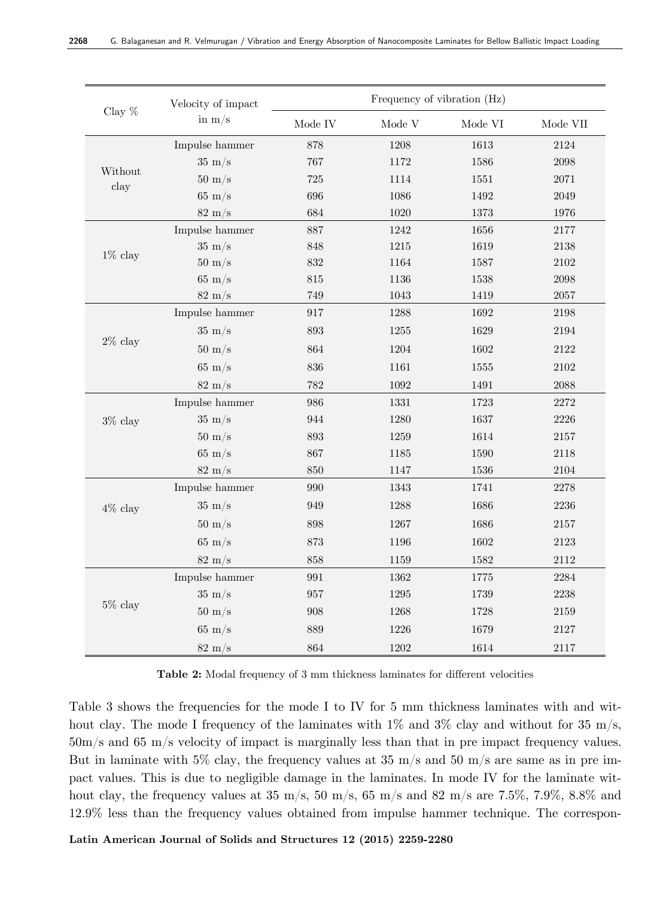| Clay $%$        | Velocity of impact<br>in $m/s$ | Frequency of vibration (Hz) |              |                           |          |  |  |
|-----------------|--------------------------------|-----------------------------|--------------|---------------------------|----------|--|--|
|                 |                                | Mode $\operatorname{IV}$    | Mode V       | $\operatorname*{Mode}$ VI | Mode VII |  |  |
|                 | Impulse hammer                 | 878                         | 1208         | 1613                      | 2124     |  |  |
| Without<br>clay | $35 \text{ m/s}$               | $767\,$<br>1172             |              | 1586                      | $\,2098$ |  |  |
|                 | $50 \text{ m/s}$               | 725                         | 1114         | 1551                      | 2071     |  |  |
|                 | $65 \text{ m/s}$               | 696                         | 1086         | 1492                      | 2049     |  |  |
|                 | $82 \text{ m/s}$               | 684                         | 1020         | 1373                      | 1976     |  |  |
| $1\%$ clay      | Impulse hammer                 | 887                         | 1242         | 1656                      | 2177     |  |  |
|                 | $35 \text{ m/s}$               | 848                         | $1215\,$     | 1619                      | 2138     |  |  |
|                 | $50 \text{ m/s}$               | 832                         | 1164         | 1587                      | $2102\,$ |  |  |
|                 | $65 \text{ m/s}$               | 815                         | 1136         | 1538                      | 2098     |  |  |
|                 | $82 \text{ m/s}$               | 749                         | 1043         | 1419                      | $2057\,$ |  |  |
|                 | Impulse hammer                 | 917                         | 1288         | 1692                      | 2198     |  |  |
|                 | $35 \text{ m/s}$               | 893                         | 1255         | 1629                      | 2194     |  |  |
| $2\%$ clay      | $50 \text{ m/s}$               | 864                         | 1204         | 1602                      | 2122     |  |  |
|                 | $65 \text{ m/s}$               | 836                         | 1161<br>1555 |                           | 2102     |  |  |
|                 | $82 \text{ m/s}$               | 782                         | 1092         | 1491                      | 2088     |  |  |
|                 | Impulse hammer                 | 986                         | 1331         | 1723                      | 2272     |  |  |
| $3\%$ clay      | $35 \text{ m/s}$               | 944                         | 1280         | 1637                      | 2226     |  |  |
|                 | $50 \text{ m/s}$               | 893                         | 1259         | 1614                      | 2157     |  |  |
|                 | $65 \text{ m/s}$               | 867                         | 1185         | 1590                      | 2118     |  |  |
|                 | $82 \text{ m/s}$               | 850                         | 1147         | 1536                      | $2104\,$ |  |  |
|                 | Impulse hammer                 | 990                         | 1343         | 1741                      | 2278     |  |  |
| $4\%$ clay      | $35 \text{ m/s}$               | 949                         | 1288         | 1686                      | $2236\,$ |  |  |
|                 | $50 \text{ m/s}$               | 898                         | 1267         | 1686                      | $2157\,$ |  |  |
|                 | $65 \text{ m/s}$               | $873\,$                     | 1196         | 1602                      | 2123     |  |  |
|                 | $82 \text{ m/s}$               | 858                         | 1159         | 1582                      | 2112     |  |  |
| $5\%$ clay      | Impulse hammer                 | 991                         | 1362         | 1775                      | 2284     |  |  |
|                 | $35 \text{ m/s}$               | 957                         | 1295         | 1739                      | 2238     |  |  |
|                 | $50 \text{ m/s}$               | 908                         | 1268         | 1728                      | $2159\,$ |  |  |
|                 | $65 \text{ m/s}$               | 889                         | 1226<br>1679 |                           | 2127     |  |  |
|                 | $82 \text{ m/s}$               | 864                         | 1202         | 1614                      | 2117     |  |  |

**Table 2:** Modal frequency of 3 mm thickness laminates for different velocities

Table 3 shows the frequencies for the mode I to IV for 5 mm thickness laminates with and without clay. The mode I frequency of the laminates with  $1\%$  and  $3\%$  clay and without for 35 m/s, 50m/s and 65 m/s velocity of impact is marginally less than that in pre impact frequency values. But in laminate with 5\% clay, the frequency values at 35 m/s and 50 m/s are same as in pre impact values. This is due to negligible damage in the laminates. In mode IV for the laminate without clay, the frequency values at 35 m/s, 50 m/s, 65 m/s and 82 m/s are 7.5%, 7.9%, 8.8% and 12.9% less than the frequency values obtained from impulse hammer technique. The correspon-

**Latin American Journal of Solids and Structures 12 (2015) 2259-2280**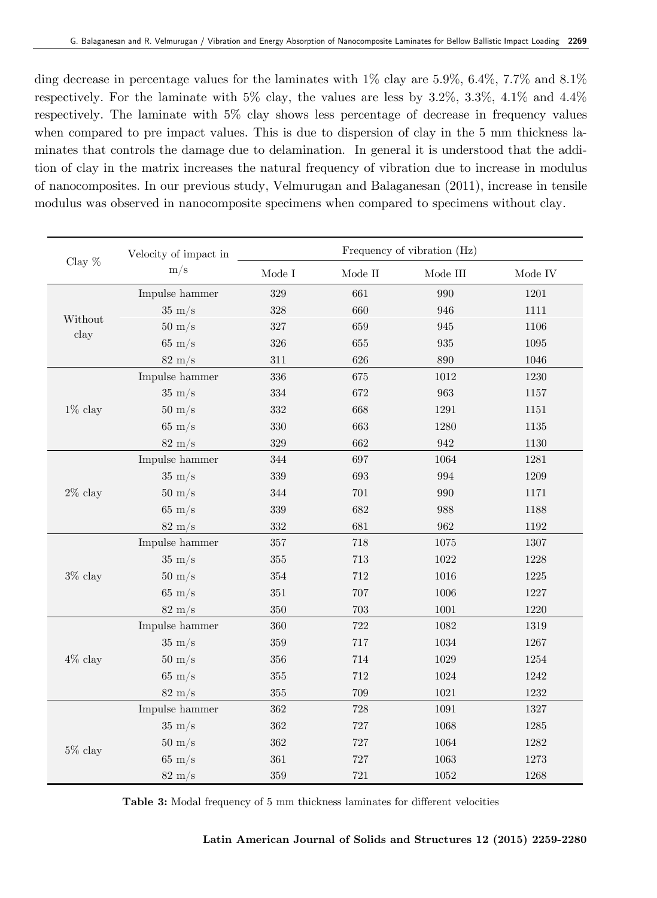ding decrease in percentage values for the laminates with  $1\%$  clay are 5.9%, 6.4%, 7.7% and 8.1% respectively. For the laminate with  $5\%$  clay, the values are less by  $3.2\%$ ,  $3.3\%$ ,  $4.1\%$  and  $4.4\%$ respectively. The laminate with 5% clay shows less percentage of decrease in frequency values when compared to pre impact values. This is due to dispersion of clay in the 5 mm thickness laminates that controls the damage due to delamination. In general it is understood that the addition of clay in the matrix increases the natural frequency of vibration due to increase in modulus of nanocomposites. In our previous study, Velmurugan and Balaganesan (2011), increase in tensile modulus was observed in nanocomposite specimens when compared to specimens without clay.

| Clay $\%$       | Velocity of impact in<br>m/s | Frequency of vibration (Hz) |         |                    |          |  |  |
|-----------------|------------------------------|-----------------------------|---------|--------------------|----------|--|--|
|                 |                              | Mode I                      | Mode II | Mode III           | Mode IV  |  |  |
| Without<br>clay | Impulse hammer               | 329                         | 661     | 990                | 1201     |  |  |
|                 | $35 \text{ m/s}$             | $328\,$                     | 660     | 946                | 1111     |  |  |
|                 | $50 \text{ m/s}$             | $327\,$                     | 659     | 945                | 1106     |  |  |
|                 | $65 \text{ m/s}$             | $326\,$                     | 655     | $\boldsymbol{935}$ | $1095\,$ |  |  |
|                 | $82 \text{ m/s}$             | $311\,$                     | 626     | 890                | 1046     |  |  |
|                 | Impulse hammer               | $336\,$                     | 675     | 1012               | 1230     |  |  |
|                 | $35 \text{ m/s}$             | $334\,$                     | 672     | 963                | 1157     |  |  |
| $1\%$ clay      | $50 \text{ m/s}$             | $332\,$                     | 668     | $1291\,$           | 1151     |  |  |
|                 | $65 \text{ m/s}$             | 330                         | 663     | 1280               | $1135\,$ |  |  |
|                 | $82 \text{ m/s}$             | $329\,$                     | 662     | 942                | 1130     |  |  |
| $2\%$ clay      | Impulse hammer               | 344                         | 697     | 1064               | 1281     |  |  |
|                 | $35 \text{ m/s}$             | 339                         | 693     | 994                | 1209     |  |  |
|                 | $50 \text{ m/s}$             | 344                         | 701     | 990                | 1171     |  |  |
|                 | $65 \text{ m/s}$             | $339\,$                     | 682     | 988                | 1188     |  |  |
|                 | $82 \text{ m/s}$             | 332                         | 681     | 962                | 1192     |  |  |
|                 | Impulse hammer               | $357\,$                     | 718     | $1075\,$           | 1307     |  |  |
|                 | $35 \text{ m/s}$             | $355\,$                     | $713\,$ | 1022               | 1228     |  |  |
| $3\%$ clay      | $50 \text{ m/s}$             | 354                         | 712     | 1016               | $1225\,$ |  |  |
|                 | $65 \text{ m/s}$             | 351                         | 707     | 1006               | 1227     |  |  |
|                 | $82 \text{ m/s}$             | 350                         | 703     | 1001               | 1220     |  |  |
|                 | Impulse hammer               | 360                         | 722     | 1082               | 1319     |  |  |
|                 | $35 \text{ m/s}$             | $359\,$                     | 717     | 1034               | 1267     |  |  |
| $4\%$ clay      | $50 \text{ m/s}$             | $356\,$                     | 714     | $1029\,$           | 1254     |  |  |
|                 | $65 \text{ m/s}$             | $355\,$                     | 712     | 1024               | 1242     |  |  |
|                 | $82 \text{ m/s}$             | 355                         | 709     | $1021\,$           | 1232     |  |  |
|                 | Impulse hammer               | 362                         | 728     | 1091               | 1327     |  |  |
| $5\%$ clay      | $35 \text{ m/s}$             | 362                         | 727     | 1068               | $1285\,$ |  |  |
|                 | $50 \text{ m/s}$             | 362                         | 727     | 1064               | 1282     |  |  |
|                 | $65 \text{ m/s}$             | 361                         | 727     | 1063               | 1273     |  |  |
|                 | $82 \text{ m/s}$             | 359                         | 721     | 1052               | 1268     |  |  |

**Table 3:** Modal frequency of 5 mm thickness laminates for different velocities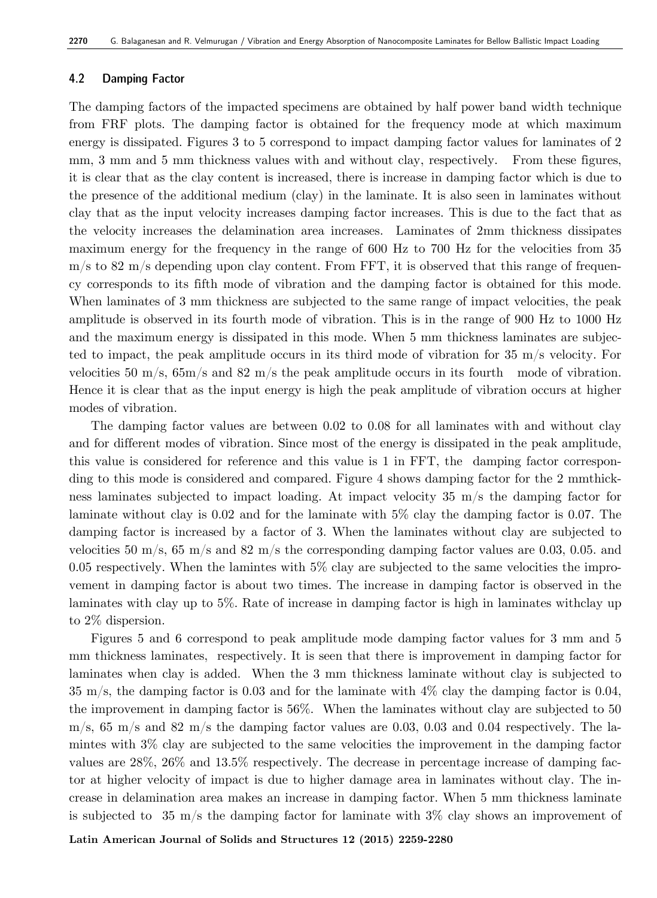#### **4.2 Damping Factor**

The damping factors of the impacted specimens are obtained by half power band width technique from FRF plots. The damping factor is obtained for the frequency mode at which maximum energy is dissipated. Figures 3 to 5 correspond to impact damping factor values for laminates of 2 mm, 3 mm and 5 mm thickness values with and without clay, respectively. From these figures, it is clear that as the clay content is increased, there is increase in damping factor which is due to the presence of the additional medium (clay) in the laminate. It is also seen in laminates without clay that as the input velocity increases damping factor increases. This is due to the fact that as the velocity increases the delamination area increases. Laminates of 2mm thickness dissipates maximum energy for the frequency in the range of 600 Hz to 700 Hz for the velocities from 35  $m/s$  to 82 m/s depending upon clay content. From FFT, it is observed that this range of frequency corresponds to its fifth mode of vibration and the damping factor is obtained for this mode. When laminates of 3 mm thickness are subjected to the same range of impact velocities, the peak amplitude is observed in its fourth mode of vibration. This is in the range of 900 Hz to 1000 Hz and the maximum energy is dissipated in this mode. When 5 mm thickness laminates are subjected to impact, the peak amplitude occurs in its third mode of vibration for 35 m/s velocity. For velocities 50 m/s,  $65m/s$  and 82 m/s the peak amplitude occurs in its fourth mode of vibration. Hence it is clear that as the input energy is high the peak amplitude of vibration occurs at higher modes of vibration.

The damping factor values are between 0.02 to 0.08 for all laminates with and without clay and for different modes of vibration. Since most of the energy is dissipated in the peak amplitude, this value is considered for reference and this value is 1 in FFT, the damping factor corresponding to this mode is considered and compared. Figure 4 shows damping factor for the 2 mmthickness laminates subjected to impact loading. At impact velocity 35 m/s the damping factor for laminate without clay is 0.02 and for the laminate with 5% clay the damping factor is 0.07. The damping factor is increased by a factor of 3. When the laminates without clay are subjected to velocities 50 m/s, 65 m/s and 82 m/s the corresponding damping factor values are 0.03, 0.05. and 0.05 respectively. When the lamintes with  $5\%$  clay are subjected to the same velocities the improvement in damping factor is about two times. The increase in damping factor is observed in the laminates with clay up to 5%. Rate of increase in damping factor is high in laminates withclay up to 2% dispersion.

Figures 5 and 6 correspond to peak amplitude mode damping factor values for 3 mm and 5 mm thickness laminates, respectively. It is seen that there is improvement in damping factor for laminates when clay is added. When the 3 mm thickness laminate without clay is subjected to 35 m/s, the damping factor is 0.03 and for the laminate with 4% clay the damping factor is 0.04, the improvement in damping factor is 56%. When the laminates without clay are subjected to 50 m/s,  $65 \text{ m/s}$  and  $82 \text{ m/s}$  the damping factor values are 0.03, 0.03 and 0.04 respectively. The lamintes with 3% clay are subjected to the same velocities the improvement in the damping factor values are 28%, 26% and 13.5% respectively. The decrease in percentage increase of damping factor at higher velocity of impact is due to higher damage area in laminates without clay. The increase in delamination area makes an increase in damping factor. When 5 mm thickness laminate is subjected to 35 m/s the damping factor for laminate with  $3\%$  clay shows an improvement of

**Latin American Journal of Solids and Structures 12 (2015) 2259-2280**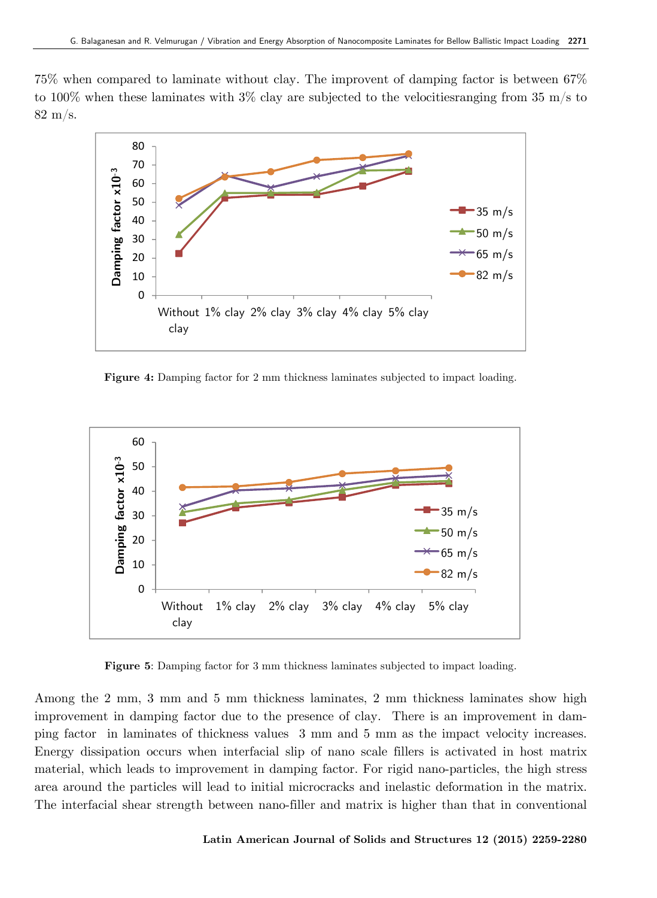75% when compared to laminate without clay. The improvent of damping factor is between 67% to 100% when these laminates with  $3\%$  clay are subjected to the velocities ranging from  $35 \text{ m/s}$  to 82 m/s.



**Figure 4:** Damping factor for 2 mm thickness laminates subjected to impact loading.



**Figure 5**: Damping factor for 3 mm thickness laminates subjected to impact loading.

Among the 2 mm, 3 mm and 5 mm thickness laminates, 2 mm thickness laminates show high improvement in damping factor due to the presence of clay. There is an improvement in damping factor in laminates of thickness values 3 mm and 5 mm as the impact velocity increases. Energy dissipation occurs when interfacial slip of nano scale fillers is activated in host matrix material, which leads to improvement in damping factor. For rigid nano-particles, the high stress area around the particles will lead to initial microcracks and inelastic deformation in the matrix. The interfacial shear strength between nano-filler and matrix is higher than that in conventional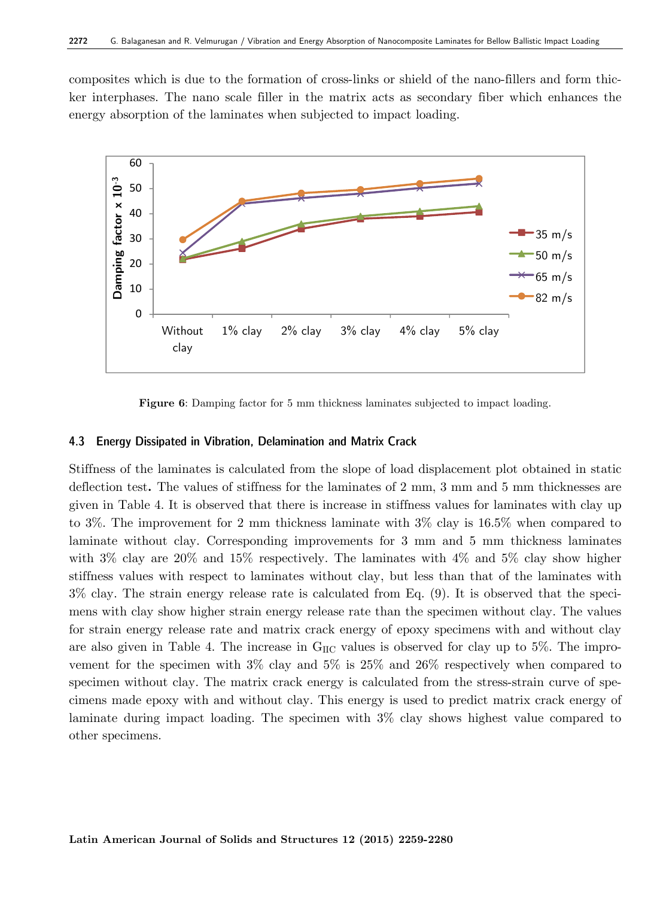composites which is due to the formation of cross-links or shield of the nano-fillers and form thicker interphases. The nano scale filler in the matrix acts as secondary fiber which enhances the energy absorption of the laminates when subjected to impact loading.



**Figure 6**: Damping factor for 5 mm thickness laminates subjected to impact loading.

#### **4.3 Energy Dissipated in Vibration, Delamination and Matrix Crack**

Stiffness of the laminates is calculated from the slope of load displacement plot obtained in static deflection test**.** The values of stiffness for the laminates of 2 mm, 3 mm and 5 mm thicknesses are given in Table 4. It is observed that there is increase in stiffness values for laminates with clay up to 3%. The improvement for 2 mm thickness laminate with 3% clay is 16.5% when compared to laminate without clay. Corresponding improvements for 3 mm and 5 mm thickness laminates with  $3\%$  clay are  $20\%$  and  $15\%$  respectively. The laminates with  $4\%$  and  $5\%$  clay show higher stiffness values with respect to laminates without clay, but less than that of the laminates with 3% clay. The strain energy release rate is calculated from Eq. (9). It is observed that the specimens with clay show higher strain energy release rate than the specimen without clay. The values for strain energy release rate and matrix crack energy of epoxy specimens with and without clay are also given in Table 4. The increase in  $G_{\text{HC}}$  values is observed for clay up to 5%. The improvement for the specimen with  $3\%$  clay and  $5\%$  is  $25\%$  and  $26\%$  respectively when compared to specimen without clay. The matrix crack energy is calculated from the stress-strain curve of specimens made epoxy with and without clay. This energy is used to predict matrix crack energy of laminate during impact loading. The specimen with 3% clay shows highest value compared to other specimens.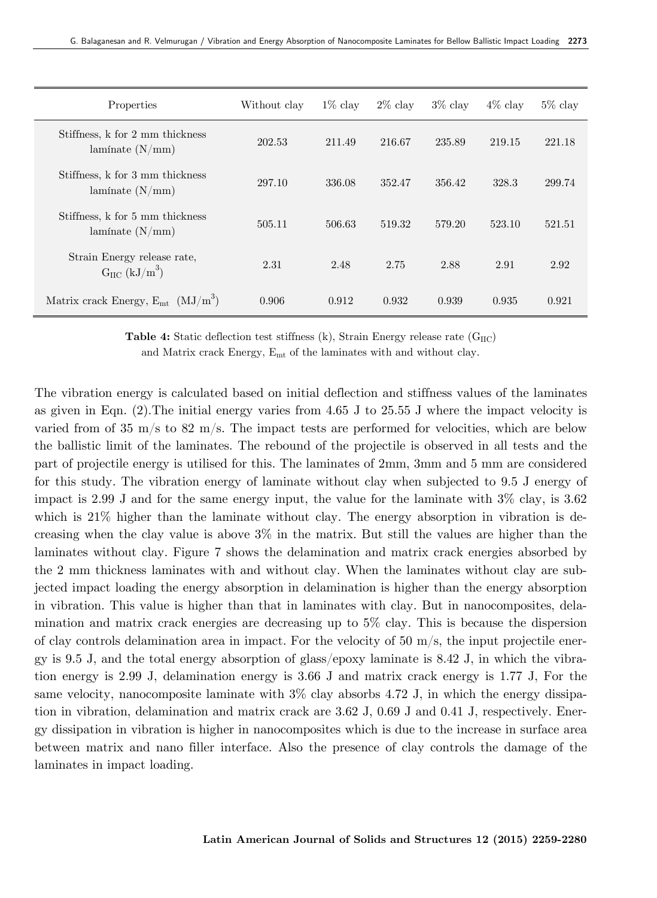| Properties                                                          | Without clay | $1\%$ clay | $2\%$ clay | $3\%$ clay | $4\%$ clay | $5\%$ clay |
|---------------------------------------------------------------------|--------------|------------|------------|------------|------------|------------|
| Stiffness, k for 2 mm thickness<br>lamínate $(N/mm)$                | 202.53       | 211.49     | 216.67     | 235.89     | 219.15     | 221.18     |
| Stiffness, k for 3 mm thickness<br>lamínate $(N/mm)$                | 297.10       | 336.08     | 352.47     | 356.42     | 328.3      | 299.74     |
| Stiffness, k for 5 mm thickness<br>laminate $(N/mm)$                | 505.11       | 506.63     | 519.32     | 579.20     | 523.10     | 521.51     |
| Strain Energy release rate,<br>$G_{\text{HC}}$ (kJ/m <sup>3</sup> ) | 2.31         | 2.48       | 2.75       | 2.88       | 2.91       | 2.92       |
| Matrix crack Energy, $E_{mt}$ (MJ/m <sup>3</sup> )                  | 0.906        | 0.912      | 0.932      | 0.939      | 0.935      | 0.921      |

**Table 4:** Static deflection test stiffness (k), Strain Energy release rate (G<sub>IIC</sub>)

and Matrix crack Energy,  $E_{mt}$  of the laminates with and without clay.

The vibration energy is calculated based on initial deflection and stiffness values of the laminates as given in Eqn. (2).The initial energy varies from 4.65 J to 25.55 J where the impact velocity is varied from of 35 m/s to 82 m/s. The impact tests are performed for velocities, which are below the ballistic limit of the laminates. The rebound of the projectile is observed in all tests and the part of projectile energy is utilised for this. The laminates of 2mm, 3mm and 5 mm are considered for this study. The vibration energy of laminate without clay when subjected to 9.5 J energy of impact is 2.99 J and for the same energy input, the value for the laminate with  $3\%$  clay, is 3.62 which is 21% higher than the laminate without clay. The energy absorption in vibration is decreasing when the clay value is above 3% in the matrix. But still the values are higher than the laminates without clay. Figure 7 shows the delamination and matrix crack energies absorbed by the 2 mm thickness laminates with and without clay. When the laminates without clay are subjected impact loading the energy absorption in delamination is higher than the energy absorption in vibration. This value is higher than that in laminates with clay. But in nanocomposites, delamination and matrix crack energies are decreasing up to 5% clay. This is because the dispersion of clay controls delamination area in impact. For the velocity of  $50 \text{ m/s}$ , the input projectile energy is 9.5 J, and the total energy absorption of glass/epoxy laminate is 8.42 J, in which the vibration energy is 2.99 J, delamination energy is 3.66 J and matrix crack energy is 1.77 J, For the same velocity, nanocomposite laminate with  $3\%$  clay absorbs 4.72 J, in which the energy dissipation in vibration, delamination and matrix crack are 3.62 J, 0.69 J and 0.41 J, respectively. Energy dissipation in vibration is higher in nanocomposites which is due to the increase in surface area between matrix and nano filler interface. Also the presence of clay controls the damage of the laminates in impact loading.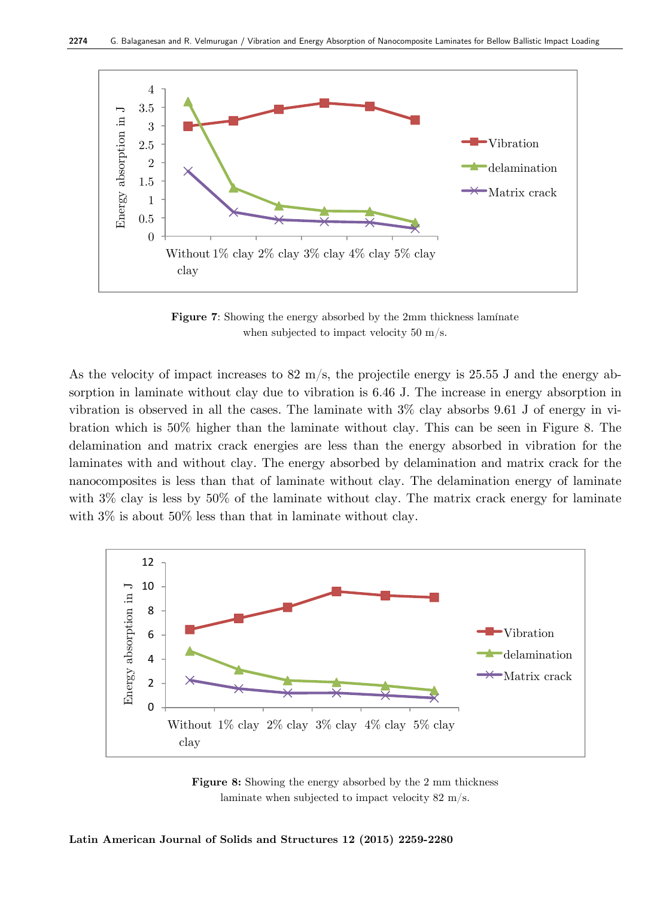

**Figure 7:** Showing the energy absorbed by the 2mm thickness laminate when subjected to impact velocity 50 m/s.

As the velocity of impact increases to  $82 \text{ m/s}$ , the projectile energy is 25.55 J and the energy absorption in laminate without clay due to vibration is 6.46 J. The increase in energy absorption in vibration is observed in all the cases. The laminate with  $3\%$  clay absorbs 9.61 J of energy in vibration which is 50% higher than the laminate without clay. This can be seen in Figure 8. The delamination and matrix crack energies are less than the energy absorbed in vibration for the laminates with and without clay. The energy absorbed by delamination and matrix crack for the nanocomposites is less than that of laminate without clay. The delamination energy of laminate with  $3\%$  clay is less by  $50\%$  of the laminate without clay. The matrix crack energy for laminate with  $3\%$  is about  $50\%$  less than that in laminate without clay.



**Figure 8:** Showing the energy absorbed by the 2 mm thickness laminate when subjected to impact velocity 82 m/s.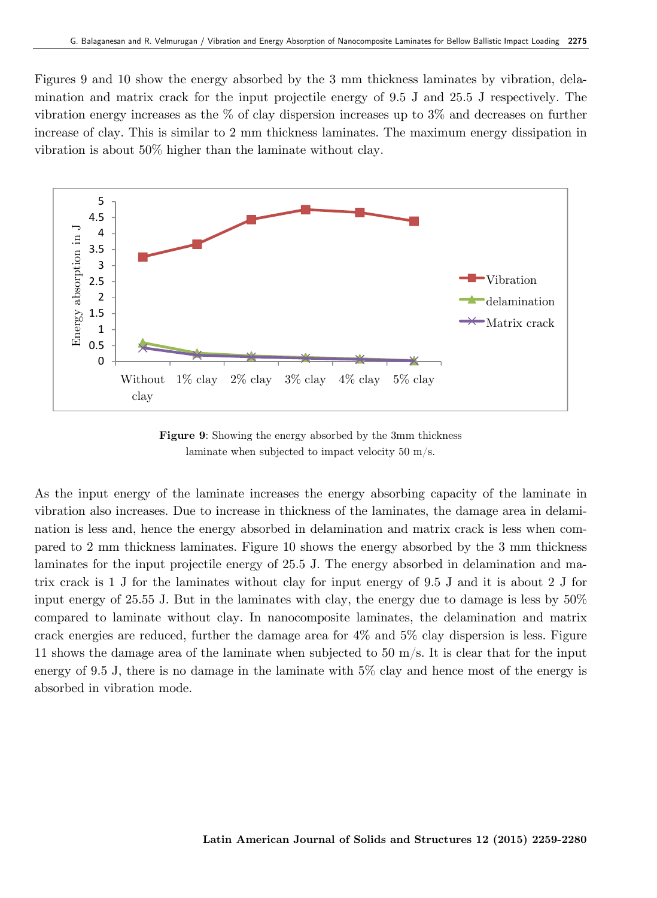Figures 9 and 10 show the energy absorbed by the 3 mm thickness laminates by vibration, delamination and matrix crack for the input projectile energy of 9.5 J and 25.5 J respectively. The vibration energy increases as the  $\%$  of clay dispersion increases up to 3% and decreases on further increase of clay. This is similar to 2 mm thickness laminates. The maximum energy dissipation in vibration is about 50% higher than the laminate without clay.



**Figure 9**: Showing the energy absorbed by the 3mm thickness laminate when subjected to impact velocity 50 m/s.

As the input energy of the laminate increases the energy absorbing capacity of the laminate in vibration also increases. Due to increase in thickness of the laminates, the damage area in delamination is less and, hence the energy absorbed in delamination and matrix crack is less when compared to 2 mm thickness laminates. Figure 10 shows the energy absorbed by the 3 mm thickness laminates for the input projectile energy of 25.5 J. The energy absorbed in delamination and matrix crack is 1 J for the laminates without clay for input energy of 9.5 J and it is about 2 J for input energy of 25.55 J. But in the laminates with clay, the energy due to damage is less by 50% compared to laminate without clay. In nanocomposite laminates, the delamination and matrix crack energies are reduced, further the damage area for 4% and 5% clay dispersion is less. Figure 11 shows the damage area of the laminate when subjected to 50 m/s. It is clear that for the input energy of 9.5 J, there is no damage in the laminate with 5% clay and hence most of the energy is absorbed in vibration mode.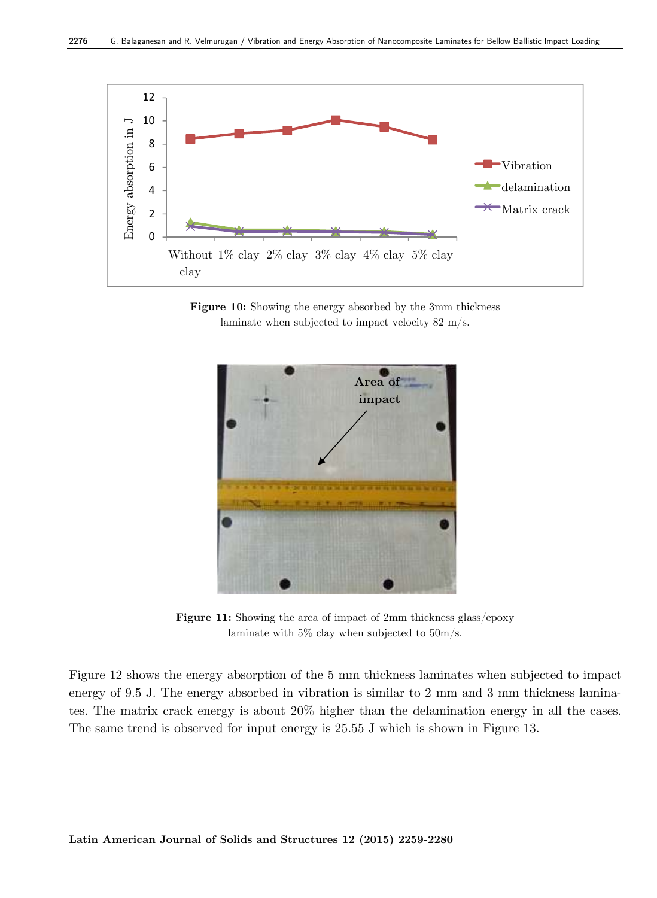

Figure 10: Showing the energy absorbed by the 3mm thickness laminate when subjected to impact velocity 82 m/s.



**Figure 11:** Showing the area of impact of 2mm thickness glass/epoxy laminate with 5% clay when subjected to 50m/s.

Figure 12 shows the energy absorption of the 5 mm thickness laminates when subjected to impact energy of 9.5 J. The energy absorbed in vibration is similar to 2 mm and 3 mm thickness laminates. The matrix crack energy is about 20% higher than the delamination energy in all the cases. The same trend is observed for input energy is 25.55 J which is shown in Figure 13.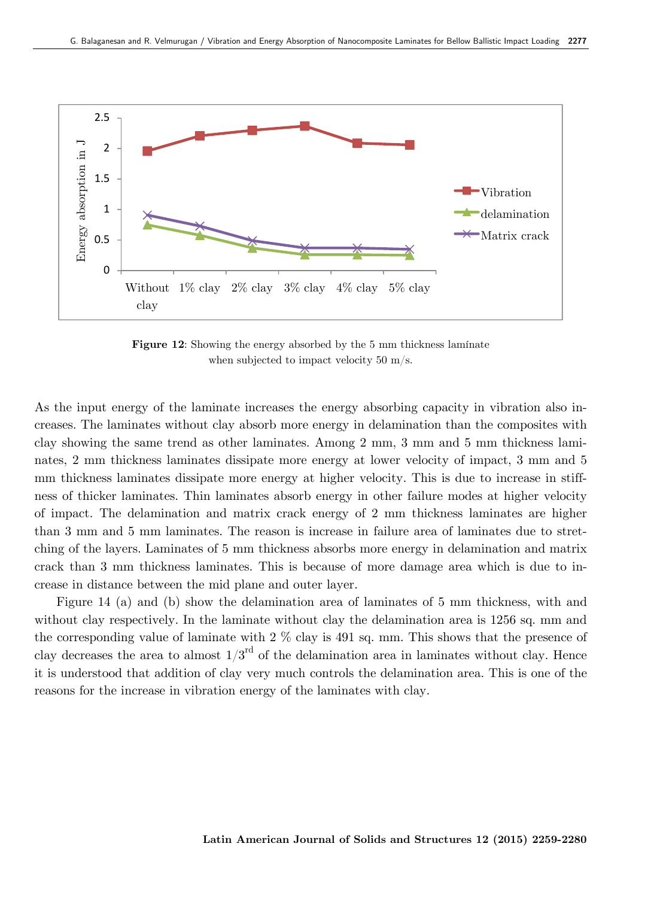

**Figure 12:** Showing the energy absorbed by the 5 mm thickness laminate when subjected to impact velocity 50 m/s.

As the input energy of the laminate increases the energy absorbing capacity in vibration also increases. The laminates without clay absorb more energy in delamination than the composites with clay showing the same trend as other laminates. Among 2 mm, 3 mm and 5 mm thickness laminates, 2 mm thickness laminates dissipate more energy at lower velocity of impact, 3 mm and 5 mm thickness laminates dissipate more energy at higher velocity. This is due to increase in stiffness of thicker laminates. Thin laminates absorb energy in other failure modes at higher velocity of impact. The delamination and matrix crack energy of 2 mm thickness laminates are higher than 3 mm and 5 mm laminates. The reason is increase in failure area of laminates due to stretching of the layers. Laminates of 5 mm thickness absorbs more energy in delamination and matrix crack than 3 mm thickness laminates. This is because of more damage area which is due to increase in distance between the mid plane and outer layer.

Figure 14 (a) and (b) show the delamination area of laminates of 5 mm thickness, with and without clay respectively. In the laminate without clay the delamination area is 1256 sq. mm and the corresponding value of laminate with  $2\%$  clay is 491 sq. mm. This shows that the presence of clay decreases the area to almost  $1/3<sup>rd</sup>$  of the delamination area in laminates without clay. Hence it is understood that addition of clay very much controls the delamination area. This is one of the reasons for the increase in vibration energy of the laminates with clay.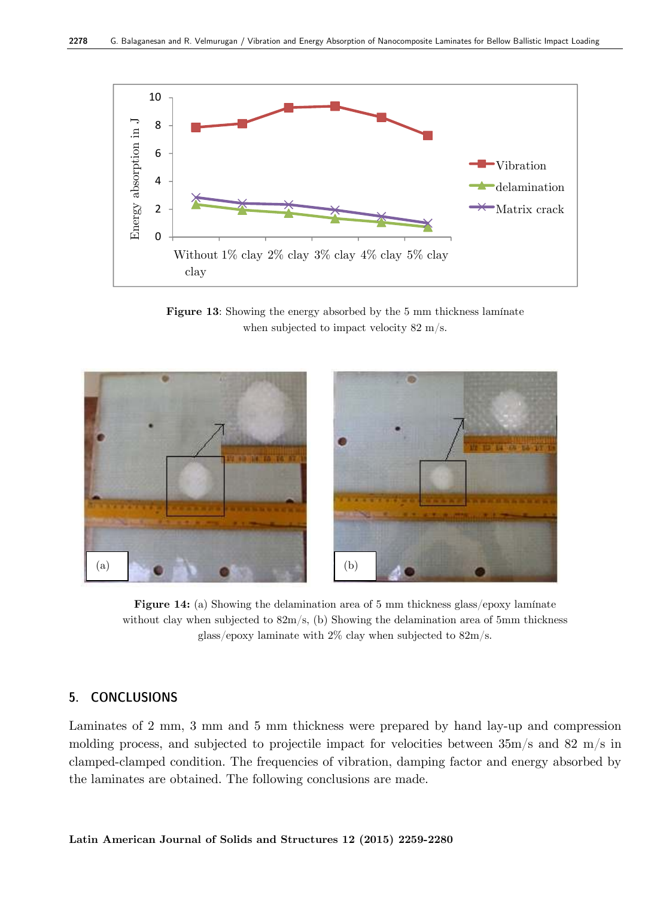

**Figure 13**: Showing the energy absorbed by the 5 mm thickness lamínate when subjected to impact velocity 82 m/s.



**Figure 14:** (a) Showing the delamination area of 5 mm thickness glass/epoxy laminate without clay when subjected to 82m/s, (b) Showing the delamination area of 5mm thickness glass/epoxy laminate with 2% clay when subjected to 82m/s.

## **5. CONCLUSIONS**

Laminates of 2 mm, 3 mm and 5 mm thickness were prepared by hand lay-up and compression molding process, and subjected to projectile impact for velocities between 35m/s and 82 m/s in clamped-clamped condition. The frequencies of vibration, damping factor and energy absorbed by the laminates are obtained. The following conclusions are made.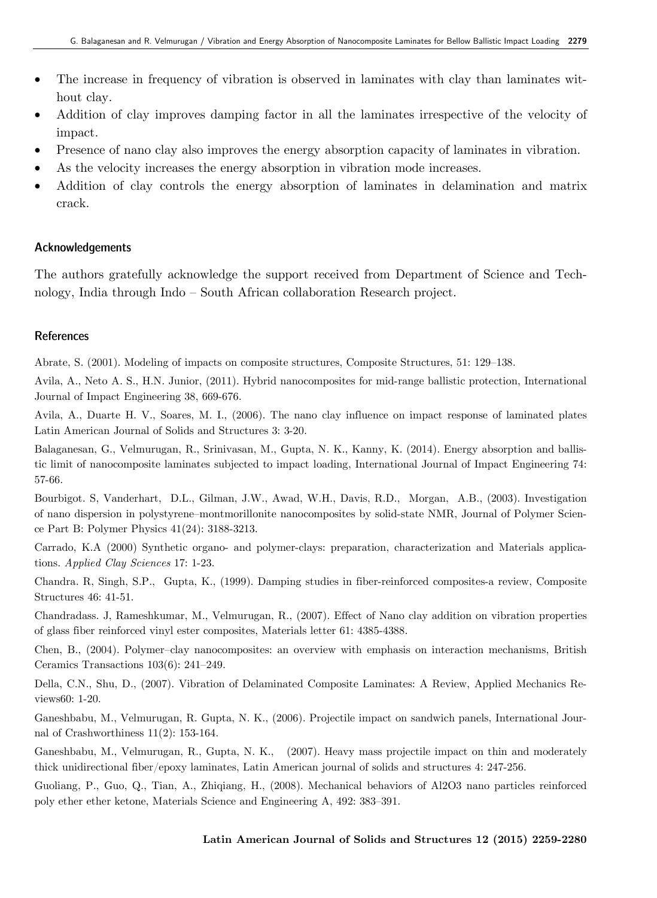- The increase in frequency of vibration is observed in laminates with clay than laminates without clay.
- Addition of clay improves damping factor in all the laminates irrespective of the velocity of impact.
- Presence of nano clay also improves the energy absorption capacity of laminates in vibration.
- As the velocity increases the energy absorption in vibration mode increases.
- Addition of clay controls the energy absorption of laminates in delamination and matrix crack.

#### **Acknowledgements**

The authors gratefully acknowledge the support received from Department of Science and Technology, India through Indo – South African collaboration Research project.

#### **References**

Abrate, S. (2001). Modeling of impacts on composite structures, Composite Structures, 51: 129–138.

Avila, A., Neto A. S., H.N. Junior, (2011). Hybrid nanocomposites for mid-range ballistic protection, International Journal of Impact Engineering 38, 669-676.

Avila, A., Duarte H. V., Soares, M. I., (2006). The nano clay influence on impact response of laminated plates Latin American Journal of Solids and Structures 3: 3-20.

Balaganesan, G., Velmurugan, R., Srinivasan, M., Gupta, N. K., Kanny, K. (2014). Energy absorption and ballistic limit of nanocomposite laminates subjected to impact loading, International Journal of Impact Engineering 74: 57-66.

Bourbigot. S, Vanderhart, D.L., Gilman, J.W., Awad, W.H., Davis, R.D., Morgan, A.B., (2003). Investigation of nano dispersion in polystyrene–montmorillonite nanocomposites by solid-state NMR, Journal of Polymer Science Part B: Polymer Physics 41(24): 3188-3213.

Carrado, K.A (2000) Synthetic organo- and polymer-clays: preparation, characterization and Materials applications. *Applied Clay Sciences* 17: 1-23.

Chandra. R, Singh, S.P., Gupta, K., (1999). Damping studies in fiber-reinforced composites-a review, Composite Structures 46: 41-51.

Chandradass. J, Rameshkumar, M., Velmurugan, R., (2007). Effect of Nano clay addition on vibration properties of glass fiber reinforced vinyl ester composites, Materials letter 61: 4385-4388.

Chen, B., (2004). Polymer–clay nanocomposites: an overview with emphasis on interaction mechanisms, British Ceramics Transactions 103(6): 241–249.

Della, C.N., Shu, D., (2007). Vibration of Delaminated Composite Laminates: A Review, Applied Mechanics Reviews60: 1-20.

Ganeshbabu, M., Velmurugan, R. Gupta, N. K., (2006). Projectile impact on sandwich panels, International Journal of Crashworthiness 11(2): 153-164.

Ganeshbabu, M., Velmurugan, R., Gupta, N. K., (2007). Heavy mass projectile impact on thin and moderately thick unidirectional fiber/epoxy laminates, Latin American journal of solids and structures 4: 247-256.

Guoliang, P., Guo, Q., Tian, A., Zhiqiang, H., (2008). Mechanical behaviors of Al2O3 nano particles reinforced poly ether ether ketone, Materials Science and Engineering A, 492: 383–391.